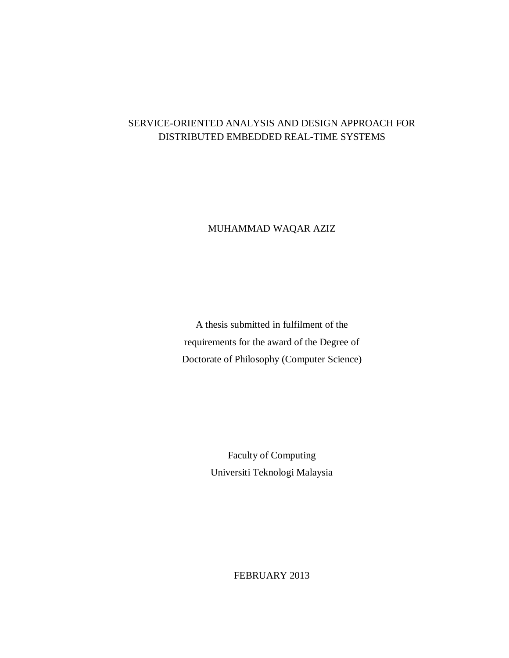## SERVICE-ORIENTED ANALYSIS AND DESIGN APPROACH FOR DISTRIBUTED EMBEDDED REAL-TIME SYSTEMS

### MUHAMMAD WAQAR AZIZ

A thesis submitted in fulfilment of the requirements for the award of the Degree of Doctorate of Philosophy (Computer Science)

> Faculty of Computing Universiti Teknologi Malaysia

> > FEBRUARY 2013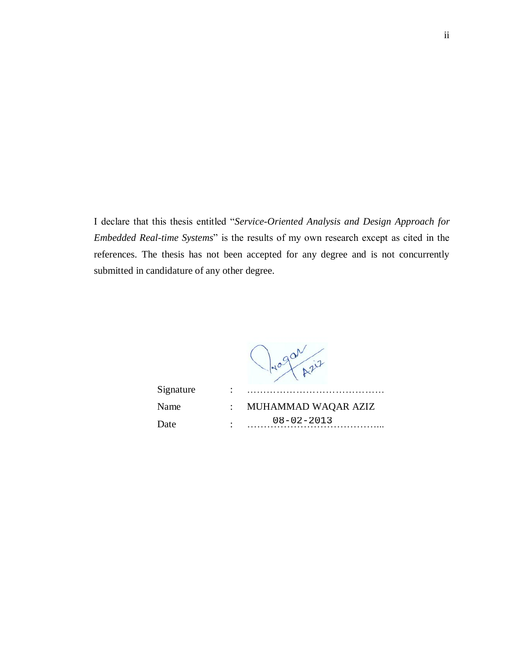I declare that this thesis entitled "*Service-Oriented Analysis and Design Approach for Embedded Real-time Systems*" is the results of my own research except as cited in the references. The thesis has not been accepted for any degree and is not concurrently submitted in candidature of any other degree.

Progan pris

| Signature |                        |                     |
|-----------|------------------------|---------------------|
| Name      |                        | MUHAMMAD WAQAR AZIZ |
| Date      | $\bullet$<br>$\bullet$ | $08 - 02 - 2013$    |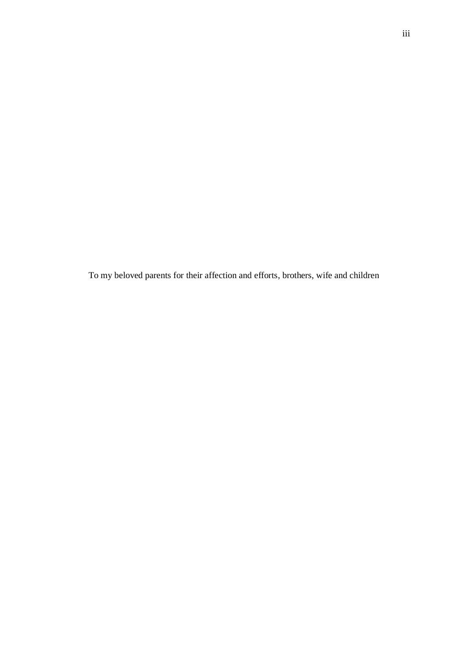To my beloved parents for their affection and efforts, brothers, wife and children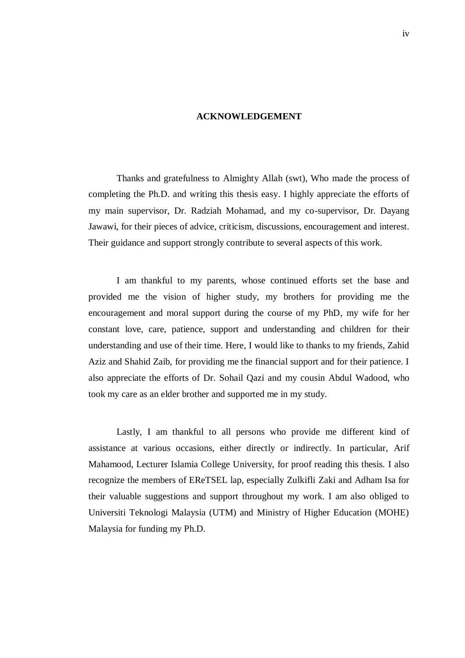#### **ACKNOWLEDGEMENT**

Thanks and gratefulness to Almighty Allah (swt), Who made the process of completing the Ph.D. and writing this thesis easy. I highly appreciate the efforts of my main supervisor, Dr. Radziah Mohamad, and my co-supervisor, Dr. Dayang Jawawi, for their pieces of advice, criticism, discussions, encouragement and interest. Their guidance and support strongly contribute to several aspects of this work.

I am thankful to my parents, whose continued efforts set the base and provided me the vision of higher study, my brothers for providing me the encouragement and moral support during the course of my PhD, my wife for her constant love, care, patience, support and understanding and children for their understanding and use of their time. Here, I would like to thanks to my friends, Zahid Aziz and Shahid Zaib, for providing me the financial support and for their patience. I also appreciate the efforts of Dr. Sohail Qazi and my cousin Abdul Wadood, who took my care as an elder brother and supported me in my study.

Lastly, I am thankful to all persons who provide me different kind of assistance at various occasions, either directly or indirectly. In particular, Arif Mahamood, Lecturer Islamia College University, for proof reading this thesis. I also recognize the members of EReTSEL lap, especially Zulkifli Zaki and Adham Isa for their valuable suggestions and support throughout my work. I am also obliged to Universiti Teknologi Malaysia (UTM) and Ministry of Higher Education (MOHE) Malaysia for funding my Ph.D.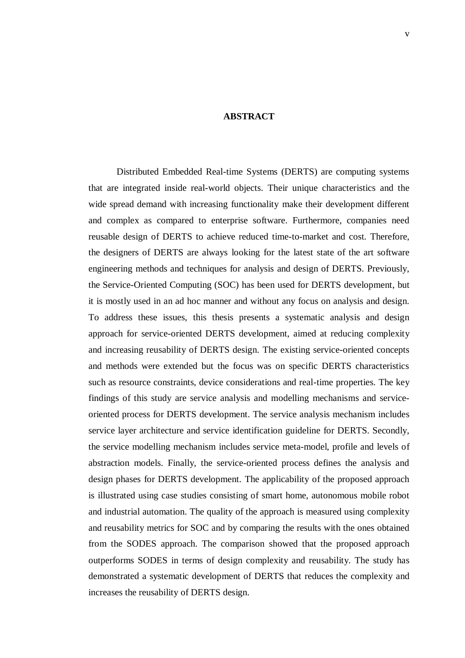#### **ABSTRACT**

Distributed Embedded Real-time Systems (DERTS) are computing systems that are integrated inside real-world objects. Their unique characteristics and the wide spread demand with increasing functionality make their development different and complex as compared to enterprise software. Furthermore, companies need reusable design of DERTS to achieve reduced time-to-market and cost. Therefore, the designers of DERTS are always looking for the latest state of the art software engineering methods and techniques for analysis and design of DERTS. Previously, the Service-Oriented Computing (SOC) has been used for DERTS development, but it is mostly used in an ad hoc manner and without any focus on analysis and design. To address these issues, this thesis presents a systematic analysis and design approach for service-oriented DERTS development, aimed at reducing complexity and increasing reusability of DERTS design. The existing service-oriented concepts and methods were extended but the focus was on specific DERTS characteristics such as resource constraints, device considerations and real-time properties. The key findings of this study are service analysis and modelling mechanisms and serviceoriented process for DERTS development. The service analysis mechanism includes service layer architecture and service identification guideline for DERTS. Secondly, the service modelling mechanism includes service meta-model, profile and levels of abstraction models. Finally, the service-oriented process defines the analysis and design phases for DERTS development. The applicability of the proposed approach is illustrated using case studies consisting of smart home, autonomous mobile robot and industrial automation. The quality of the approach is measured using complexity and reusability metrics for SOC and by comparing the results with the ones obtained from the SODES approach. The comparison showed that the proposed approach outperforms SODES in terms of design complexity and reusability. The study has demonstrated a systematic development of DERTS that reduces the complexity and increases the reusability of DERTS design.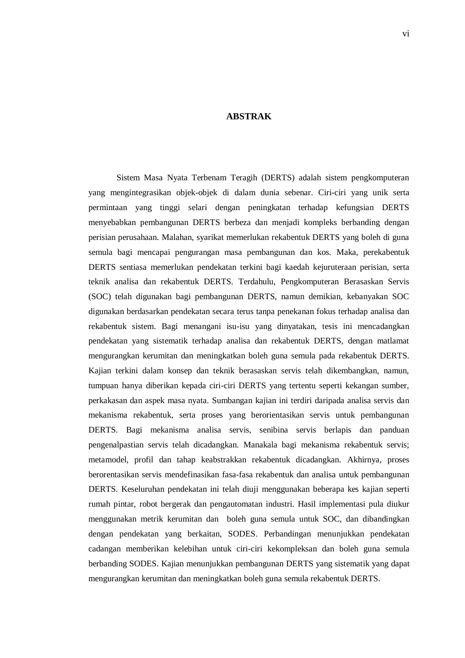#### **ABSTRAK**

Sistem Masa Nyata Terbenam Teragih (DERTS) adalah sistem pengkomputeran yang mengintegrasikan objek-objek di dalam dunia sebenar. Ciri-ciri yang unik serta permintaan yang tinggi selari dengan peningkatan terhadap kefungsian DERTS menyebabkan pembangunan DERTS berbeza dan menjadi kompleks berbanding dengan perisian perusahaan. Malahan, syarikat memerlukan rekabentuk DERTS yang boleh di guna semula bagi mencapai pengurangan masa pembangunan dan kos. Maka, perekabentuk DERTS sentiasa memerlukan pendekatan terkini bagi kaedah kejuruteraan perisian, serta teknik analisa dan rekabentuk DERTS. Terdahulu, Pengkomputeran Berasaskan Servis (SOC) telah digunakan bagi pembangunan DERTS, namun demikian, kebanyakan SOC digunakan berdasarkan pendekatan secara terus tanpa penekanan fokus terhadap analisa dan rekabentuk sistem. Bagi menangani isu-isu yang dinyatakan, tesis ini mencadangkan pendekatan yang sistematik terhadap analisa dan rekabentuk DERTS, dengan matlamat mengurangkan kerumitan dan meningkatkan boleh guna semula pada rekabentuk DERTS. Kajian terkini dalam konsep dan teknik berasaskan servis telah dikembangkan, namun, tumpuan hanya diberikan kepada ciri-ciri DERTS yang tertentu seperti kekangan sumber, perkakasan dan aspek masa nyata. Sumbangan kajian ini terdiri daripada analisa servis dan mekanisma rekabentuk, serta proses yang berorientasikan servis untuk pembangunan DERTS. Bagi mekanisma analisa servis, senibina servis berlapis dan panduan pengenalpastian servis telah dicadangkan. Manakala bagi mekanisma rekabentuk servis; metamodel, profil dan tahap keabstrakkan rekabentuk dicadangkan. Akhirnya, proses berorentasikan servis mendefinasikan fasa-fasa rekabentuk dan analisa untuk pembangunan DERTS. Keseluruhan pendekatan ini telah diuji menggunakan beberapa kes kajian seperti rumah pintar, robot bergerak dan pengautomatan industri. Hasil implementasi pula diukur menggunakan metrik kerumitan dan boleh guna semula untuk SOC, dan dibandingkan dengan pendekatan yang berkaitan, SODES. Perbandingan menunjukkan pendekatan cadangan memberikan kelebihan untuk ciri-ciri kekompleksan dan boleh guna semula berbanding SODES. Kajian menunjukkan pembangunan DERTS yang sistematik yang dapat mengurangkan kerumitan dan meningkatkan boleh guna semula rekabentuk DERTS.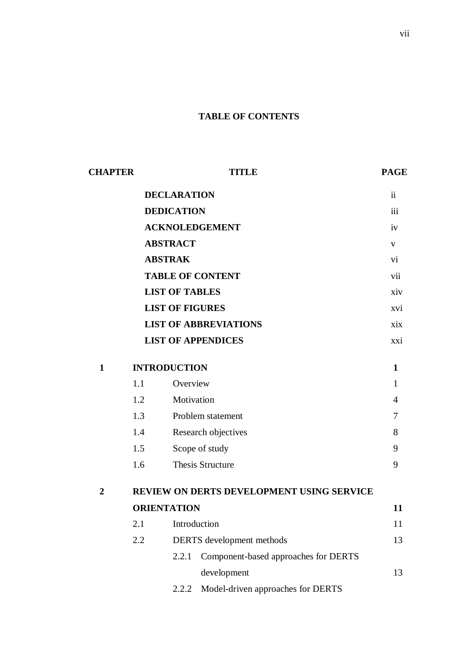# **TABLE OF CONTENTS**

| <b>CHAPTER</b> |                   | TITLE                                            |                                      |                           |  |
|----------------|-------------------|--------------------------------------------------|--------------------------------------|---------------------------|--|
|                |                   | <b>DECLARATION</b>                               |                                      |                           |  |
|                | <b>DEDICATION</b> |                                                  |                                      | iii                       |  |
|                |                   | <b>ACKNOLEDGEMENT</b>                            |                                      |                           |  |
|                |                   | <b>ABSTRACT</b>                                  |                                      | $\mathbf{V}$<br>vi<br>vii |  |
|                |                   | <b>ABSTRAK</b>                                   |                                      |                           |  |
|                |                   | <b>TABLE OF CONTENT</b>                          |                                      |                           |  |
|                |                   | <b>LIST OF TABLES</b>                            |                                      | xiv                       |  |
|                |                   | <b>LIST OF FIGURES</b>                           |                                      | xvi                       |  |
|                |                   |                                                  | <b>LIST OF ABBREVIATIONS</b>         | xix                       |  |
|                |                   | <b>LIST OF APPENDICES</b>                        |                                      | xxi                       |  |
| $\mathbf{1}$   |                   | <b>INTRODUCTION</b>                              |                                      |                           |  |
|                | 1.1               | Overview                                         |                                      | 1                         |  |
|                | 1.2               | Motivation                                       |                                      | $\overline{4}$            |  |
|                | 1.3               |                                                  | Problem statement                    | $\overline{7}$            |  |
|                | 1.4               |                                                  | Research objectives                  | 8                         |  |
|                | 1.5               |                                                  | Scope of study                       | 9                         |  |
|                | 1.6               |                                                  | <b>Thesis Structure</b>              | 9                         |  |
| $\overline{2}$ |                   | <b>REVIEW ON DERTS DEVELOPMENT USING SERVICE</b> |                                      |                           |  |
|                |                   | <b>ORIENTATION</b>                               |                                      |                           |  |
|                | 2.1               | Introduction                                     |                                      | 11                        |  |
|                | 2.2               |                                                  | DERTS development methods            | 13                        |  |
|                |                   | 2.2.1                                            | Component-based approaches for DERTS |                           |  |
|                |                   |                                                  | development                          | 13                        |  |
|                |                   | 2.2.2                                            | Model-driven approaches for DERTS    |                           |  |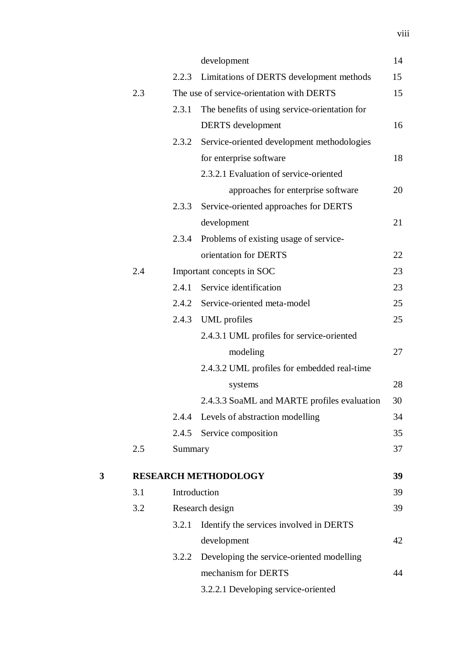|   |     |         | development                                     | 14 |
|---|-----|---------|-------------------------------------------------|----|
|   |     | 2.2.3   | Limitations of DERTS development methods        | 15 |
|   | 2.3 |         | The use of service-orientation with DERTS       | 15 |
|   |     | 2.3.1   | The benefits of using service-orientation for   |    |
|   |     |         | <b>DERTS</b> development                        | 16 |
|   |     | 2.3.2   | Service-oriented development methodologies      |    |
|   |     |         | for enterprise software                         | 18 |
|   |     |         | 2.3.2.1 Evaluation of service-oriented          |    |
|   |     |         | approaches for enterprise software              | 20 |
|   |     | 2.3.3   | Service-oriented approaches for DERTS           |    |
|   |     |         | development                                     | 21 |
|   |     | 2.3.4   | Problems of existing usage of service-          |    |
|   |     |         | orientation for DERTS                           | 22 |
|   | 2.4 |         | Important concepts in SOC                       | 23 |
|   |     | 2.4.1   | Service identification                          | 23 |
|   |     | 2.4.2   | Service-oriented meta-model                     | 25 |
|   |     | 2.4.3   | <b>UML</b> profiles                             | 25 |
|   |     |         | 2.4.3.1 UML profiles for service-oriented       |    |
|   |     |         | modeling                                        | 27 |
|   |     |         | 2.4.3.2 UML profiles for embedded real-time     |    |
|   |     |         | systems                                         | 28 |
|   |     |         | 2.4.3.3 SoaML and MARTE profiles evaluation     | 30 |
|   |     | 2.4.4   | Levels of abstraction modelling                 | 34 |
|   |     |         | 2.4.5 Service composition                       | 35 |
|   | 2.5 | Summary |                                                 | 37 |
| 3 |     |         | <b>RESEARCH METHODOLOGY</b>                     | 39 |
|   | 3.1 |         | Introduction                                    | 39 |
|   | 3.2 |         | Research design                                 | 39 |
|   |     | 3.2.1   | Identify the services involved in DERTS         |    |
|   |     |         | development                                     | 42 |
|   |     |         | 3.2.2 Developing the service-oriented modelling |    |
|   |     |         | mechanism for DERTS                             | 44 |
|   |     |         | 3.2.2.1 Developing service-oriented             |    |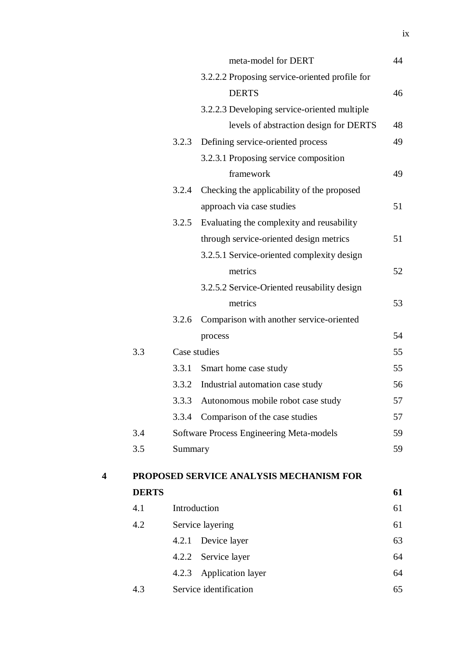|              |              | meta-model for DERT                            | 44 |
|--------------|--------------|------------------------------------------------|----|
|              |              | 3.2.2.2 Proposing service-oriented profile for |    |
|              |              | <b>DERTS</b>                                   | 46 |
|              |              | 3.2.2.3 Developing service-oriented multiple   |    |
|              |              | levels of abstraction design for DERTS         | 48 |
|              | 3.2.3        | Defining service-oriented process              | 49 |
|              |              | 3.2.3.1 Proposing service composition          |    |
|              |              | framework                                      | 49 |
|              | 3.2.4        | Checking the applicability of the proposed     |    |
|              |              | approach via case studies                      | 51 |
|              | 3.2.5        | Evaluating the complexity and reusability      |    |
|              |              | through service-oriented design metrics        | 51 |
|              |              | 3.2.5.1 Service-oriented complexity design     |    |
|              |              | metrics                                        | 52 |
|              |              | 3.2.5.2 Service-Oriented reusability design    |    |
|              |              | metrics                                        | 53 |
|              | 3.2.6        | Comparison with another service-oriented       |    |
|              |              | process                                        | 54 |
| 3.3          | Case studies |                                                | 55 |
|              | 3.3.1        | Smart home case study                          | 55 |
|              | 3.3.2        | Industrial automation case study               | 56 |
|              | 3.3.3        | Autonomous mobile robot case study             | 57 |
|              | 3.3.4        | Comparison of the case studies                 | 57 |
| 3.4          |              | Software Process Engineering Meta-models       | 59 |
| 3.5          | Summary      |                                                | 59 |
|              |              | PROPOSED SERVICE ANALYSIS MECHANISM FOR        |    |
| <b>DERTS</b> |              |                                                | 61 |
| 4.1          | Introduction |                                                | 61 |
| 4.2          |              | Service layering                               | 61 |
|              | 4.2.1        | Device layer                                   | 63 |
|              | 4.2.2        | Service layer                                  | 64 |
|              | 4.2.3        | <b>Application layer</b>                       | 64 |
| 4.3          |              | Service identification                         | 65 |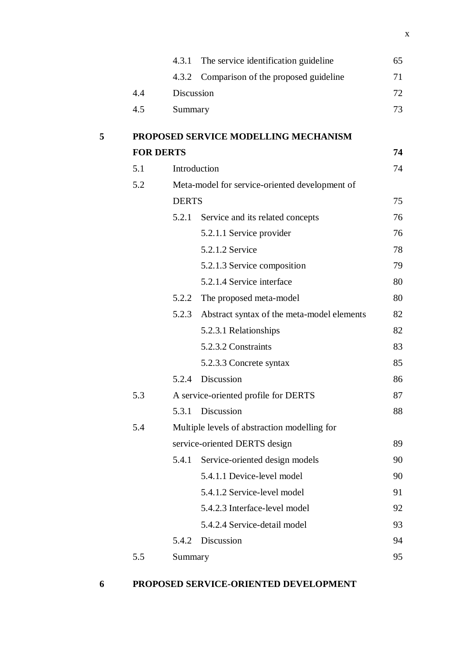|   |                  | 4.3.1        | The service identification guideline           | 65 |
|---|------------------|--------------|------------------------------------------------|----|
|   |                  | 4.3.2        | Comparison of the proposed guideline           | 71 |
|   | 4.4              | Discussion   |                                                | 72 |
|   | 4.5              | Summary      |                                                | 73 |
| 5 |                  |              | PROPOSED SERVICE MODELLING MECHANISM           |    |
|   | <b>FOR DERTS</b> |              |                                                | 74 |
|   | 5.1              | Introduction |                                                | 74 |
|   | 5.2              |              | Meta-model for service-oriented development of |    |
|   |                  | <b>DERTS</b> |                                                | 75 |
|   |                  | 5.2.1        | Service and its related concepts               | 76 |
|   |                  |              | 5.2.1.1 Service provider                       | 76 |
|   |                  |              | 5.2.1.2 Service                                | 78 |
|   |                  |              | 5.2.1.3 Service composition                    | 79 |
|   |                  |              | 5.2.1.4 Service interface                      | 80 |
|   |                  | 5.2.2        | The proposed meta-model                        | 80 |
|   |                  | 5.2.3        | Abstract syntax of the meta-model elements     | 82 |
|   |                  |              | 5.2.3.1 Relationships                          | 82 |
|   |                  |              | 5.2.3.2 Constraints                            | 83 |
|   |                  |              | 5.2.3.3 Concrete syntax                        | 85 |
|   |                  | 5.2.4        | Discussion                                     | 86 |
|   | 5.3              |              | A service-oriented profile for DERTS           | 87 |
|   |                  | 5.3.1        | Discussion                                     | 88 |
|   | 5.4              |              | Multiple levels of abstraction modelling for   |    |
|   |                  |              | service-oriented DERTS design                  |    |
|   |                  | 5.4.1        | Service-oriented design models                 | 90 |
|   |                  |              | 5.4.1.1 Device-level model                     | 90 |
|   |                  |              | 5.4.1.2 Service-level model                    | 91 |
|   |                  |              | 5.4.2.3 Interface-level model                  | 92 |
|   |                  |              | 5.4.2.4 Service-detail model                   | 93 |
|   |                  | 5.4.2        | Discussion                                     | 94 |
|   | 5.5              | Summary      |                                                | 95 |
|   |                  |              |                                                |    |

**6 PROPOSED SERVICE-ORIENTED DEVELOPMENT**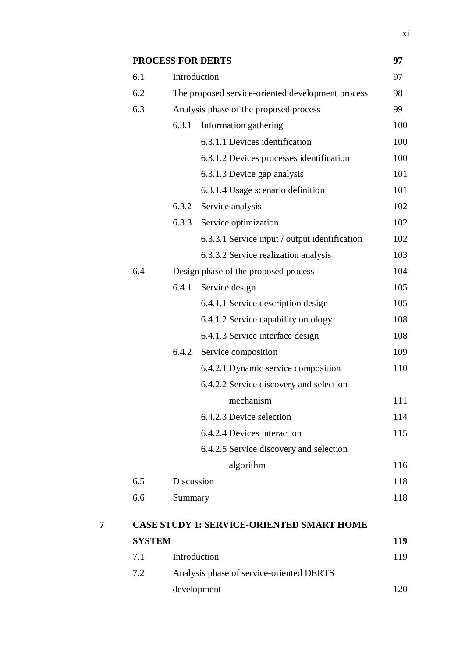|               | <b>PROCESS FOR DERTS</b> |                                                   | 97  |
|---------------|--------------------------|---------------------------------------------------|-----|
| 6.1           |                          | Introduction                                      | 97  |
| 6.2           |                          | The proposed service-oriented development process | 98  |
| 6.3           |                          | Analysis phase of the proposed process            | 99  |
|               | 6.3.1                    | Information gathering                             | 100 |
|               |                          | 6.3.1.1 Devices identification                    | 100 |
|               |                          | 6.3.1.2 Devices processes identification          | 100 |
|               |                          | 6.3.1.3 Device gap analysis                       | 101 |
|               |                          | 6.3.1.4 Usage scenario definition                 | 101 |
|               | 6.3.2                    | Service analysis                                  | 102 |
|               | 6.3.3                    | Service optimization                              | 102 |
|               |                          | 6.3.3.1 Service input / output identification     | 102 |
|               |                          | 6.3.3.2 Service realization analysis              | 103 |
| 6.4           |                          | Design phase of the proposed process              | 104 |
|               | 6.4.1                    | Service design                                    | 105 |
|               |                          | 6.4.1.1 Service description design                | 105 |
|               |                          | 6.4.1.2 Service capability ontology               | 108 |
|               |                          | 6.4.1.3 Service interface design                  | 108 |
|               | 6.4.2                    | Service composition                               | 109 |
|               |                          | 6.4.2.1 Dynamic service composition               | 110 |
|               |                          | 6.4.2.2 Service discovery and selection           |     |
|               |                          | mechanism                                         | 111 |
|               |                          | 6.4.2.3 Device selection                          | 114 |
|               |                          | 6.4.2.4 Devices interaction                       | 115 |
|               |                          | 6.4.2.5 Service discovery and selection           |     |
|               |                          | algorithm                                         | 116 |
| 6.5           | Discussion               |                                                   | 118 |
| 6.6           | Summary                  |                                                   | 118 |
|               |                          | <b>CASE STUDY 1: SERVICE-ORIENTED SMART HOME</b>  |     |
| <b>SYSTEM</b> |                          |                                                   | 119 |
| 7.1           | Introduction             |                                                   | 119 |
| 7.2           |                          | Analysis phase of service-oriented DERTS          |     |
|               |                          | development                                       | 120 |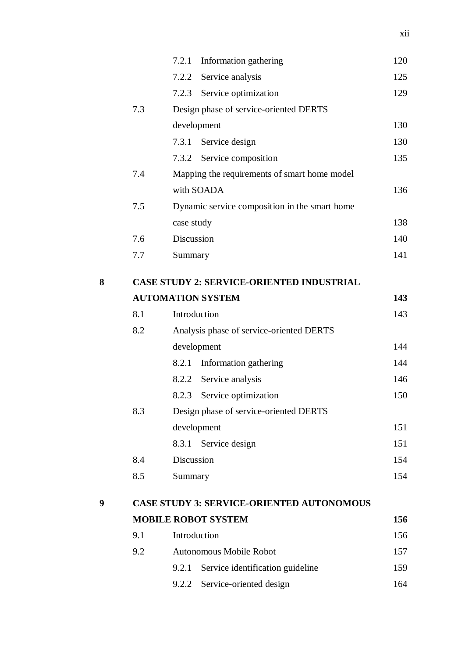|   |     | Information gathering<br>7.2.1                   | 120 |
|---|-----|--------------------------------------------------|-----|
|   |     | 7.2.2 Service analysis                           | 125 |
|   |     | Service optimization<br>7.2.3                    | 129 |
|   | 7.3 | Design phase of service-oriented DERTS           |     |
|   |     | development                                      | 130 |
|   |     | 7.3.1 Service design                             | 130 |
|   |     | 7.3.2 Service composition                        | 135 |
|   | 7.4 | Mapping the requirements of smart home model     |     |
|   |     | with SOADA                                       | 136 |
|   | 7.5 | Dynamic service composition in the smart home    |     |
|   |     | case study                                       | 138 |
|   | 7.6 | Discussion                                       | 140 |
|   | 7.7 | Summary                                          | 141 |
| 8 |     | <b>CASE STUDY 2: SERVICE-ORIENTED INDUSTRIAL</b> |     |
|   |     | <b>AUTOMATION SYSTEM</b>                         | 143 |
|   | 8.1 | Introduction                                     | 143 |
|   | 8.2 | Analysis phase of service-oriented DERTS         |     |
|   |     | development                                      | 144 |
|   |     | Information gathering<br>8.2.1                   | 144 |
|   |     | Service analysis<br>8.2.2                        | 146 |
|   |     | 8.2.3<br>Service optimization                    | 150 |
|   | 8.3 | Design phase of service-oriented DERTS           |     |
|   |     | development                                      | 151 |
|   |     | Service design<br>8.3.1                          | 151 |
|   | 8.4 | Discussion                                       | 154 |
|   | 8.5 | Summary                                          | 154 |
| 9 |     | <b>CASE STUDY 3: SERVICE-ORIENTED AUTONOMOUS</b> |     |
|   |     | <b>MOBILE ROBOT SYSTEM</b>                       | 156 |
|   | 9.1 | Introduction                                     | 156 |
|   | 9.2 | Autonomous Mobile Robot                          | 157 |
|   |     | 9.2.1<br>Service identification guideline        | 159 |
|   |     | Service-oriented design<br>9.2.2                 | 164 |
|   |     |                                                  |     |